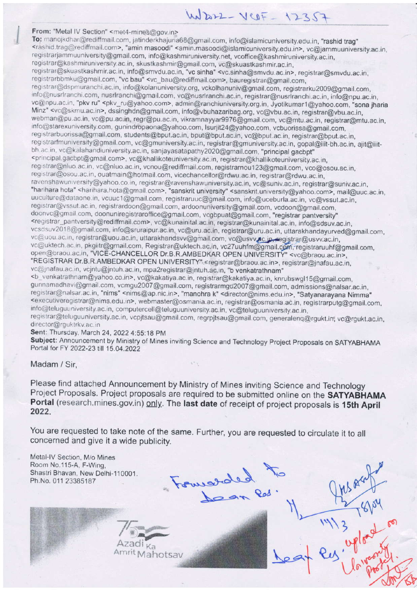# $W_{222} - V_{12} = 12357$

From: "Metal IV Section" <met4-mines@gov.in><br>To: manojkdhar@rediffmail.com, jatinderkhajuria68@gmail.com, info@islamicuniversity.edu.in, "rashid trag" <rashid.trag@rediffmail.com>, "amin masoodi" <amin.masoodi@islamicuniversity.edu.in>, vc@jammuuniversity.ac.in, registrarjammuuniversity@gmail.com, info@kashmiruniversity.net, vcoffice@kashmiruniversity.ac.in, registrar@kashmiruniversity.ac.in, skustkashmir@gmail.com, vc@skuastkashmir.ac.in, registrar@skuastkashmir.ac.in, info@smvdu.ac.in, "vc sinha" <vc.sinha@smvdu.ac.in>, registrar@smvdu.ac.in, registrarbbmku@gmail.com, "vc bau" <vc\_bau@rediffmail.com>, bauregistrar@gmail.com, registrar@dspmuranchi.ac.in, info@kolanuniversity.org, vckolhanuniv@gmail.com, registrarku2009@gmail.com, info@nusrlranchi.com, nusrlranchi@gmail.com, vc@nusrlranchi.ac.in, registrar@nusrlranchi.ac.in, info@npu.ac.in, vc@npu.ac.in, "pkv ru" <pkv\_ru@yahoo.com>, admin@ranchiuniversity.org.in, Jyotikumar1@yahoo.com, "sona jharia Minz" <vc@skmu.ac.in>, dssinghdn@gmail.com, info@vbuhazaribag.org, vc@vbu.ac.in, registrar@vbu.ac.in, webman@pu.ac.in, vc@pu.ac.in, regr@pu.ac.in, vikramnayyar9976@gmail.com, vc@mtu.ac.in, registrar@mtu.ac.in, info@starexuniversity.com, gunindropaona@yahoo.com, lsurjit24@yahoo.com, vcbuorissa@gmail.com, registrarbuorissa@gmail.com, students@bput.ac.in, bput@bput.ac.in, vc@bput.ac.in, registrar@bput.ac.in, registrarfmuniversity@gmail.com, vc@gmuniversity.ac.in, registrar@gmuniversity.ac.in, gopal@iiit-bh.ac.in, ajit@iiitbh.ac.in, vc@kalahandiuniversity.ac.in, sanjayasatapathy2020@gmail.com, "principal gacbpt" <principal.gacbpt@gmail.com>, vc@khallikoteuniversity.ac.in, registrar@khallikoteuniversity.ac.in, registrar@nluo.ac.in, vc@nluo.ac.in, vcnou@rediffmail.com, registrarnou123@gmail.com, vco@osou.ac.in, registrar@osou.ac.in, ouatmain@hotmail.com, vicechancellor@rdwu.ac.in, registrar@rdwu.ac.in, ravenshawuniversity@yahoo.co.in, registrar@ravenshawuniversity.ac.in, vc@suniv.ac.in, registrar@suniv.ac.in, "harihara hota" <harihara.hota@gmail.com>, "sanskrit university" <sanskrit.university@yahoo.com>, mail@uuc.ac.in, uuculture@dataone.in, vcuuc1@gmail.com, registraruuc@gmail.com, info@uceburla.ac.in, vc@vssut.ac.in, registrar@vssut.ac.in, registrardoon@gmail.com, ardoonuniversity@gmail.com, vcdoon@gmail.com, doonvc@gmail.com, doonuniregistraroffice@gmail.com, vcgbpuat@gmail.com, "registrar pantversity" <registrar\_pantversity@rediffmail.com>, vc@kunainital.ac.in, registrar@kunainital.ac.in, info@sdsuv.ac.in, vcsdsuv2018@gmail.com, info@sruraipur.ac.in, vc@uru.ac.in, registrar@uru.ac.in, uttarakhandayurved@gmail.com, vc@uou.ac.in, registrar@uou.ac.in, uttarakhandsvv@gmail.com, vc@usvv.ac.in, registrar@usvv.ac.in, vc@uktech.ac.in, pkgiitr@gmail.com, Registrar@uktech.ac.in, vc27uuhfm@gmail.com, registraruuhf@gmail.com, open@braou.ac.in, "VICE-CHANCELLOR Dr.B.R.AMBEDKAR OPEN UNIVERSITY" <vc@braou.ac.in>, "REGISTRAR Dr.B.R.AMBEDKAR OPEN UNIVERSITY" <registrar@braou.ac.in>, registrar@jnafau.ac.in, vc@jnafau.ac.in, vcjntu@jntuh.ac.in, mpa2registrar@jntuh.ac.in, "b venkatrathnam" <b\_venkatrathnam@yahoo.co.in>, vc@kakatiya.ac.in, registrar@kakatiya.ac.in, knruhswgl15@gmail.com, gunnamadhavi@gmail.com, vcmgu2007@gmail.com, registrarmgu2007@gmail.com, admissions@nalsar.ac.in,

registrar@nalsar.ac.in, "nims" <nims@ap.nic.in>, "manohra k" <director@nims.edu.in>, "Satyanarayana Nimma"<br><executiveregistrar@nims.edu.in>, webmaster@osmania.ac.in, registrar@osmania.ac.in, registrarputg@gmail.com, info@teluguuniversity.ac.in, computercell@teluguuniversity.ac.in, vc@teluguuniversity.ac.in, registrar@teluguuniversity.ac.in, vcpjtsau@gmail.com, regrpjtsau@gmail.com, generalenq@rgukt.in; vc@rgukt.ac.in,

director@rguktrkv.ac.in

Sent: Thursday. March 24, 2022 4:55:18 PM

Subject: Announcement by Ministry of Mines inviting Science and Technology Project Proposals on SATYABHAMA Portal for FY 2022-23 till 15.04.2022

 $\mathcal{C}^{\infty}$ 

Madam / Sir,

Please find attached Announcement by Ministry of Mines inviting Science and Technology Project Proposals. Project proposals are required to be submitted online on the SATYABHAMA Portal (research.mines.gov.in) only. The last date of receipt of project proposals is 15th April 2022.

 $\frac{1}{2}$ 

 $\sum_{i=1}^{n}$ 

\o=o.:. Qo/ '

You are requested to take note of the same. Further, you are requested to circulate it to all concerned and give it a wide publicity.

 $\mu$ -

Metal-IV Section, M/o Mines Room No.115-A, F-Wing, Shastri Bhavan, New Delhi-110001. Ph.No.011 23385187

> $\frac{1}{\frac{1}{\frac{1}{\frac{1}{\frac{1}{\cdots}}}}\cdot \frac{1}{\cdots}}$ Amrit Mahotsav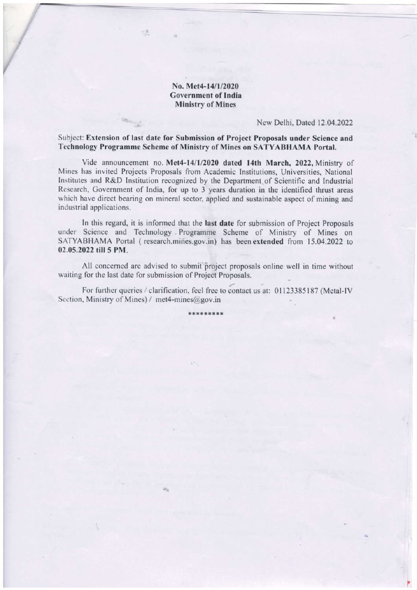#### No. Met4-14/1/2020 Covernment of India Ministry of Mines

 $\mathbb{R}^n$ 

#### Ncw Delhi, Dated 12.04.2022

Subject: Extension of last date for Submission of Project Proposals under Science and Technology Programme Scheme of Ministry of Mines on SATYABHAMA Portal,

Vide announcement no. Met4-14/1/2020 dated 14th March, 2022, Ministry of Mines has invited Projects Proposals from Academic Institutions, Universities, National Institutes and R&D Institution recognized by the Department of Scientific and Industrial Research, Government of India, for up to 3 years duration in the identified thrust areas which have direct bearing on mineral sector, applied and sustainable aspect of mining and industrial applications.

In this regard, it is informed that the last date for submission of Project Proposals under Science and Technology Programme Scheme of Ministry of Mines on SATYABHAMA Portal (research.mines.gov.in) has been extended from 15.04.2022 to 02.05.2022 till 5 PM.

All concerned are advised to submit project proposals online well in time without waiting for the last date for submission of Project Proposals.

For further queries / clarification, feel free to contact us at: 01123385187 (Metal-IV Section, Ministry of Mines) / met4-mines@gov.in

\*\*\*\*\*\*\*\*\*

 $V^{\ast}$   $\chi$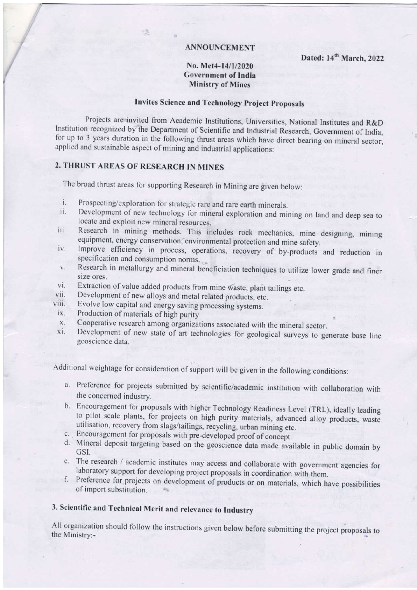#### **ANNOUNCEMENT**

Dated: 14<sup>th</sup> March, 2022

#### No. Met4-14/1/2020 **Government of India Ministry of Mines**

### **Invites Science and Technology Project Proposals**

Projects are invited from Academic Institutions, Universities, National Institutes and R&D Institution recognized by the Department of Scientific and Industrial Research, Government of India, for up to 3 years duration in the following thrust areas which have direct bearing on mineral sector, applied and sustainable aspect of mining and industrial applications:

## 2. THRUST AREAS OF RESEARCH IN MINES

The broad thrust areas for supporting Research in Mining are given below:

- Prospecting/exploration for strategic rare and rare earth minerals. i.
- Development of new technology for mineral exploration and mining on land and deep sea to ii. locate and exploit new mineral resources.
- Research in mining methods. This includes rock mechanics, mine designing, mining iii. equipment, energy conservation, environmental protection and mine safety.
- Improve efficiency in process, operations, recovery of by-products and reduction in iv. specification and consumption norms.
- Research in metallurgy and mineral beneficiation techniques to utilize lower grade and finer  $\mathbf{V}$  . size ores.
- Extraction of value added products from mine waste, plant tailings etc. vi.
- vii. Development of new alloys and metal related products, etc.
- Evolve low capital and energy saving processing systems. viii.
- Production of materials of high purity. ix.
- Cooperative research among organizations associated with the mineral sector. X.
- Development of new state of art technologies for geological surveys to generate base line xi. geoscience data.

Additional weightage for consideration of support will be given in the following conditions:

- a. Preference for projects submitted by scientific/academic institution with collaboration with the concerned industry.
- b. Encouragement for proposals with higher Technology Readiness Level (TRL), ideally leading to pilot scale plants, for projects on high purity materials, advanced alloy products, waste utilisation, recovery from slags/tailings, recycling, urban mining etc.
- c. Encouragement for proposals with pre-developed proof of concept.
- d. Mineral deposit targeting based on the geoscience data made available in public domain by GSI.
- e. The research / academic institutes may access and collaborate with government agencies for laboratory support for developing project proposals in coordination with them.
- f. Preference for projects on development of products or on materials, which have possibilities of import substitution.

# 3. Scientific and Technical Merit and relevance to Industry

All organization should follow the instructions given below before submitting the project proposals to the Ministry:-